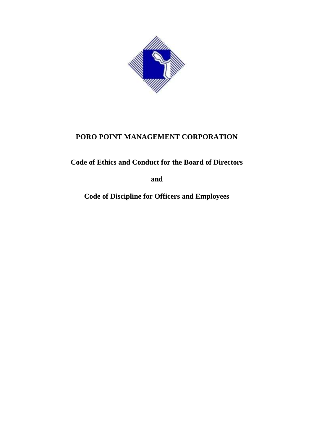

**Code of Ethics and Conduct for the Board of Directors** 

**and**

**Code of Discipline for Officers and Employees**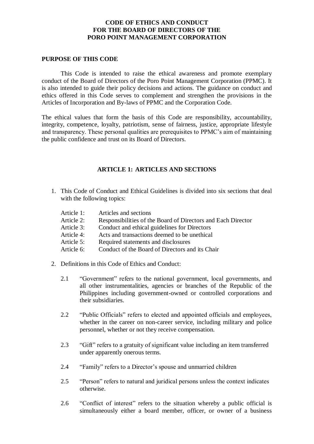# **CODE OF ETHICS AND CONDUCT FOR THE BOARD OF DIRECTORS OF THE PORO POINT MANAGEMENT CORPORATION**

#### **PURPOSE OF THIS CODE**

This Code is intended to raise the ethical awareness and promote exemplary conduct of the Board of Directors of the Poro Point Management Corporation (PPMC). It is also intended to guide their policy decisions and actions. The guidance on conduct and ethics offered in this Code serves to complement and strengthen the provisions in the Articles of Incorporation and By-laws of PPMC and the Corporation Code.

The ethical values that form the basis of this Code are responsibility, accountability, integrity, competence, loyalty, patriotism, sense of fairness, justice, appropriate lifestyle and transparency. These personal qualities are prerequisites to PPMC's aim of maintaining the public confidence and trust on its Board of Directors.

# **ARTICLE 1: ARTICLES AND SECTIONS**

- 1. This Code of Conduct and Ethical Guidelines is divided into six sections that deal with the following topics:
	- Article 1: Articles and sections
	- Article 2: Responsibilities of the Board of Directors and Each Director
	- Article 3: Conduct and ethical guidelines for Directors
	- Article 4: Acts and transactions deemed to be unethical
	- Article 5: Required statements and disclosures
	- Article 6: Conduct of the Board of Directors and its Chair
- 2. Definitions in this Code of Ethics and Conduct:
	- 2.1 "Government" refers to the national government, local governments, and all other instrumentalities, agencies or branches of the Republic of the Philippines including government-owned or controlled corporations and their subsidiaries.
	- 2.2 "Public Officials" refers to elected and appointed officials and employees, whether in the career on non-career service, including military and police personnel, whether or not they receive compensation.
	- 2.3 "Gift" refers to a gratuity of significant value including an item transferred under apparently onerous terms.
	- 2.4 "Family" refers to a Director's spouse and unmarried children
	- 2.5 "Person" refers to natural and juridical persons unless the context indicates otherwise.
	- 2.6 "Conflict of interest" refers to the situation whereby a public official is simultaneously either a board member, officer, or owner of a business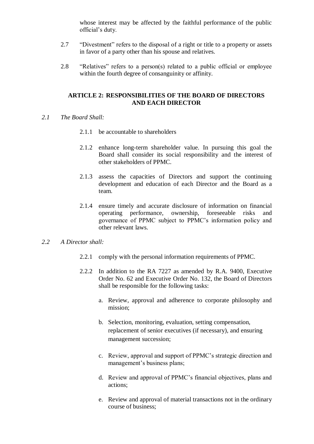whose interest may be affected by the faithful performance of the public official's duty.

- 2.7 "Divestment" refers to the disposal of a right or title to a property or assets in favor of a party other than his spouse and relatives.
- 2.8 "Relatives" refers to a person(s) related to a public official or employee within the fourth degree of consanguinity or affinity.

# **ARTICLE 2: RESPONSIBILITIES OF THE BOARD OF DIRECTORS AND EACH DIRECTOR**

- *2.1 The Board Shall:*
	- 2.1.1 be accountable to shareholders
	- 2.1.2 enhance long-term shareholder value. In pursuing this goal the Board shall consider its social responsibility and the interest of other stakeholders of PPMC.
	- 2.1.3 assess the capacities of Directors and support the continuing development and education of each Director and the Board as a team.
	- 2.1.4 ensure timely and accurate disclosure of information on financial operating performance, ownership, foreseeable risks and governance of PPMC subject to PPMC's information policy and other relevant laws.

## *2.2 A Director shall:*

- 2.2.1 comply with the personal information requirements of PPMC.
- 2.2.2 In addition to the RA 7227 as amended by R.A. 9400, Executive Order No. 62 and Executive Order No. 132, the Board of Directors shall be responsible for the following tasks:
	- a. Review, approval and adherence to corporate philosophy and mission;
	- b. Selection, monitoring, evaluation, setting compensation, replacement of senior executives (if necessary), and ensuring management succession;
	- c. Review, approval and support of PPMC's strategic direction and management's business plans;
	- d. Review and approval of PPMC's financial objectives, plans and actions;
	- e. Review and approval of material transactions not in the ordinary course of business;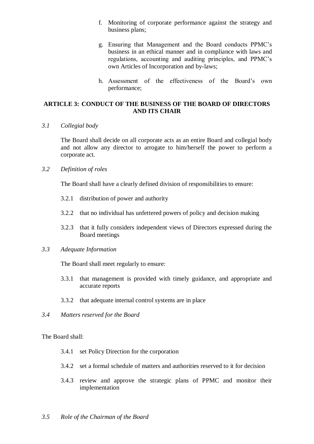- f. Monitoring of corporate performance against the strategy and business plans;
- g. Ensuring that Management and the Board conducts PPMC's business in an ethical manner and in compliance with laws and regulations, accounting and auditing principles, and PPMC's own Articles of Incorporation and by-laws;
- h. Assessment of the effectiveness of the Board's own performance;

# **ARTICLE 3: CONDUCT OF THE BUSINESS OF THE BOARD OF DIRECTORS AND ITS CHAIR**

*3.1 Collegial body*

The Board shall decide on all corporate acts as an entire Board and collegial body and not allow any director to arrogate to him/herself the power to perform a corporate act.

# *3.2 Definition of roles*

The Board shall have a clearly defined division of responsibilities to ensure:

- 3.2.1 distribution of power and authority
- 3.2.2 that no individual has unfettered powers of policy and decision making
- 3.2.3 that it fully considers independent views of Directors expressed during the Board meetings

#### *3.3 Adequate Information*

The Board shall meet regularly to ensure:

- 3.3.1 that management is provided with timely guidance, and appropriate and accurate reports
- 3.3.2 that adequate internal control systems are in place
- *3.4 Matters reserved for the Board*

The Board shall:

- 3.4.1 set Policy Direction for the corporation
- 3.4.2 set a formal schedule of matters and authorities reserved to it for decision
- 3.4.3 review and approve the strategic plans of PPMC and monitor their implementation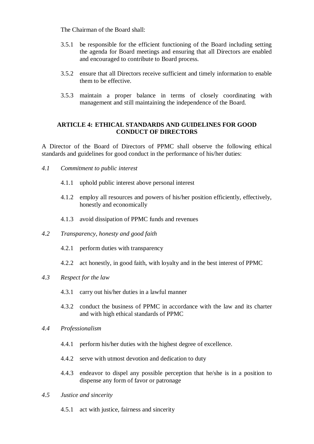The Chairman of the Board shall:

- 3.5.1 be responsible for the efficient functioning of the Board including setting the agenda for Board meetings and ensuring that all Directors are enabled and encouraged to contribute to Board process.
- 3.5.2 ensure that all Directors receive sufficient and timely information to enable them to be effective.
- 3.5.3 maintain a proper balance in terms of closely coordinating with management and still maintaining the independence of the Board.

## **ARTICLE 4: ETHICAL STANDARDS AND GUIDELINES FOR GOOD CONDUCT OF DIRECTORS**

A Director of the Board of Directors of PPMC shall observe the following ethical standards and guidelines for good conduct in the performance of his/her duties:

- *4.1 Commitment to public interest*
	- 4.1.1 uphold public interest above personal interest
	- 4.1.2 employ all resources and powers of his/her position efficiently, effectively, honestly and economically
	- 4.1.3 avoid dissipation of PPMC funds and revenues
- *4.2 Transparency, honesty and good faith*
	- 4.2.1 perform duties with transparency
	- 4.2.2 act honestly, in good faith, with loyalty and in the best interest of PPMC
- *4.3 Respect for the law*
	- 4.3.1 carry out his/her duties in a lawful manner
	- 4.3.2 conduct the business of PPMC in accordance with the law and its charter and with high ethical standards of PPMC
- *4.4 Professionalism*
	- 4.4.1 perform his/her duties with the highest degree of excellence.
	- 4.4.2 serve with utmost devotion and dedication to duty
	- 4.4.3 endeavor to dispel any possible perception that he/she is in a position to dispense any form of favor or patronage
- *4.5 Justice and sincerity*
	- 4.5.1 act with justice, fairness and sincerity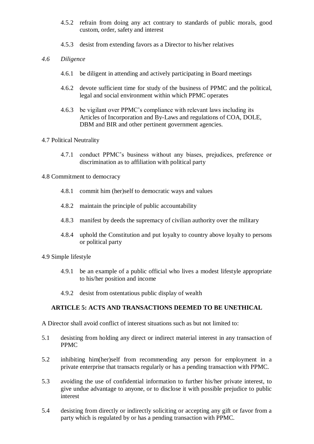- 4.5.2 refrain from doing any act contrary to standards of public morals, good custom, order, safety and interest
- 4.5.3 desist from extending favors as a Director to his/her relatives
- *4.6 Diligence*
	- 4.6.1 be diligent in attending and actively participating in Board meetings
	- 4.6.2 devote sufficient time for study of the business of PPMC and the political, legal and social environment within which PPMC operates
	- 4.6.3 be vigilant over PPMC's compliance with relevant laws including its Articles of Incorporation and By-Laws and regulations of COA, DOLE, DBM and BIR and other pertinent government agencies.

# 4.7 Political Neutrality

4.7.1 conduct PPMC's business without any biases, prejudices, preference or discrimination as to affiliation with political party

#### 4.8 Commitment to democracy

- 4.8.1 commit him (her)self to democratic ways and values
- 4.8.2 maintain the principle of public accountability
- 4.8.3 manifest by deeds the supremacy of civilian authority over the military
- 4.8.4 uphold the Constitution and put loyalty to country above loyalty to persons or political party

#### 4.9 Simple lifestyle

- 4.9.1 be an example of a public official who lives a modest lifestyle appropriate to his/her position and income
- 4.9.2 desist from ostentatious public display of wealth

# **ARTICLE 5: ACTS AND TRANSACTIONS DEEMED TO BE UNETHICAL**

A Director shall avoid conflict of interest situations such as but not limited to:

- 5.1 desisting from holding any direct or indirect material interest in any transaction of PPMC
- 5.2 inhibiting him(her)self from recommending any person for employment in a private enterprise that transacts regularly or has a pending transaction with PPMC.
- 5.3 avoiding the use of confidential information to further his/her private interest, to give undue advantage to anyone, or to disclose it with possible prejudice to public interest
- 5.4 desisting from directly or indirectly soliciting or accepting any gift or favor from a party which is regulated by or has a pending transaction with PPMC.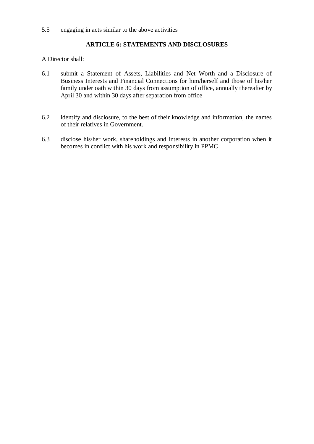# **ARTICLE 6: STATEMENTS AND DISCLOSURES**

A Director shall:

- 6.1 submit a Statement of Assets, Liabilities and Net Worth and a Disclosure of Business Interests and Financial Connections for him/herself and those of his/her family under oath within 30 days from assumption of office, annually thereafter by April 30 and within 30 days after separation from office
- 6.2 identify and disclosure, to the best of their knowledge and information, the names of their relatives in Government.
- 6.3 disclose his/her work, shareholdings and interests in another corporation when it becomes in conflict with his work and responsibility in PPMC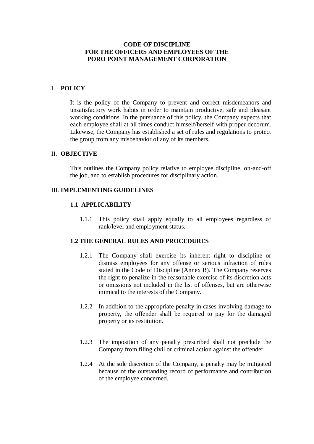## **CODE OF DISCIPLINE FOR THE OFFICERS AND EMPLOYEES OF THE PORO POINT MANAGEMENT CORPORATION**

## I. **POLICY**

It is the policy of the Company to prevent and correct misdemeanors and unsatisfactory work habits in order to maintain productive, safe and pleasant working conditions. In the pursuance of this policy, the Company expects that each employee shall at all times conduct himself/herself with proper decorum. Likewise, the Company has established a set of rules and regulations to protect the group from any misbehavior of any of its members.

#### II. **OBJECTIVE**

This outlines the Company policy relative to employee discipline, on-and-off the job, and to establish procedures for disciplinary action.

#### III. **IMPLEMENTING GUIDELINES**

### **1.1 APPLICABILITY**

1.1.1 This policy shall apply equally to all employees regardless of rank/level and employment status.

# **1.2 THE GENERAL RULES AND PROCEDURES**

- 1.2.1 The Company shall exercise its inherent right to discipline or dismiss employees for any offense or serious infraction of rules stated in the Code of Discipline (Annex B). The Company reserves the right to penalize in the reasonable exercise of its discretion acts or omissions not included in the list of offenses, but are otherwise inimical to the interests of the Company.
- 1.2.2 In addition to the appropriate penalty in cases involving damage to property, the offender shall be required to pay for the damaged property or its restitution.
- 1.2.3 The imposition of any penalty prescribed shall not preclude the Company from filing civil or criminal action against the offender.
- 1.2.4 At the sole discretion of the Company, a penalty may be mitigated because of the outstanding record of performance and contribution of the employee concerned.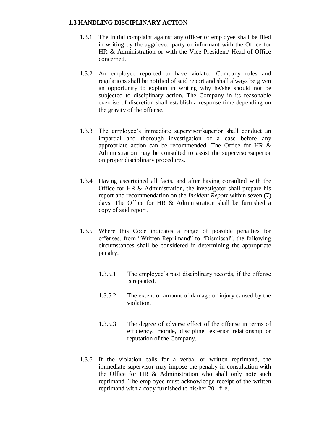#### **1.3 HANDLING DISCIPLINARY ACTION**

- 1.3.1 The initial complaint against any officer or employee shall be filed in writing by the aggrieved party or informant with the Office for HR & Administration or with the Vice President/ Head of Office concerned.
- 1.3.2 An employee reported to have violated Company rules and regulations shall be notified of said report and shall always be given an opportunity to explain in writing why he/she should not be subjected to disciplinary action. The Company in its reasonable exercise of discretion shall establish a response time depending on the gravity of the offense.
- 1.3.3 The employee's immediate supervisor/superior shall conduct an impartial and thorough investigation of a case before any appropriate action can be recommended. The Office for HR & Administration may be consulted to assist the supervisor/superior on proper disciplinary procedures.
- 1.3.4 Having ascertained all facts, and after having consulted with the Office for HR & Administration, the investigator shall prepare his report and recommendation on the *Incident Report* within seven (7) days. The Office for HR & Administration shall be furnished a copy of said report.
- 1.3.5 Where this Code indicates a range of possible penalties for offenses, from "Written Reprimand" to "Dismissal", the following circumstances shall be considered in determining the appropriate penalty:
	- 1.3.5.1 The employee's past disciplinary records, if the offense is repeated.
	- 1.3.5.2 The extent or amount of damage or injury caused by the violation.
	- 1.3.5.3 The degree of adverse effect of the offense in terms of efficiency, morale, discipline, exterior relationship or reputation of the Company.
- 1.3.6 If the violation calls for a verbal or written reprimand, the immediate supervisor may impose the penalty in consultation with the Office for HR & Administration who shall only note such reprimand. The employee must acknowledge receipt of the written reprimand with a copy furnished to his/her 201 file.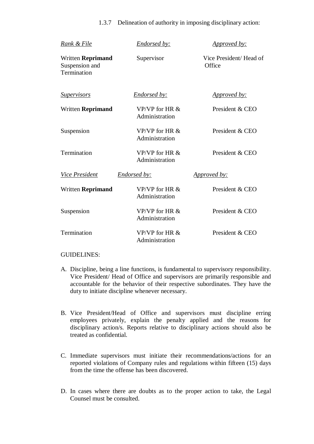| 1.3.7 Delineation of authority in imposing disciplinary action: |  |  |  |
|-----------------------------------------------------------------|--|--|--|
|                                                                 |  |  |  |

| <u>Rank &amp; File</u>                                    | <b>Endorsed by:</b>                | <i><u><b>Approved by:</b></u></i> |
|-----------------------------------------------------------|------------------------------------|-----------------------------------|
| <b>Written Reprimand</b><br>Suspension and<br>Termination | Supervisor                         | Vice President/Head of<br>Office  |
| <u>Supervisors</u>                                        | Endorsed by:                       | <u>Approved by:</u>               |
| <b>Written Reprimand</b>                                  | VP/VP for HR $&$<br>Administration | President & CEO                   |
| Suspension                                                | VP/VP for HR &<br>Administration   | President & CEO                   |
| Termination                                               | VP/VP for HR $&$<br>Administration | President & CEO                   |
| <b>Vice President</b>                                     | <b>Endorsed by:</b>                | <i><u><b>Approved by:</b></u></i> |
| <b>Written Reprimand</b>                                  | VP/VP for HR $&$<br>Administration | President & CEO                   |
| Suspension                                                | VP/VP for HR $&$<br>Administration | President & CEO                   |
| Termination                                               | VP/VP for HR $&$<br>Administration | President & CEO                   |

#### GUIDELINES:

- A. Discipline, being a line functions, is fundamental to supervisory responsibility. Vice President/ Head of Office and supervisors are primarily responsible and accountable for the behavior of their respective subordinates. They have the duty to initiate discipline whenever necessary.
- B. Vice President/Head of Office and supervisors must discipline erring employees privately, explain the penalty applied and the reasons for disciplinary action/s. Reports relative to disciplinary actions should also be treated as confidential.
- C. Immediate supervisors must initiate their recommendations/actions for an reported violations of Company rules and regulations within fifteen (15) days from the time the offense has been discovered.
- D. In cases where there are doubts as to the proper action to take, the Legal Counsel must be consulted.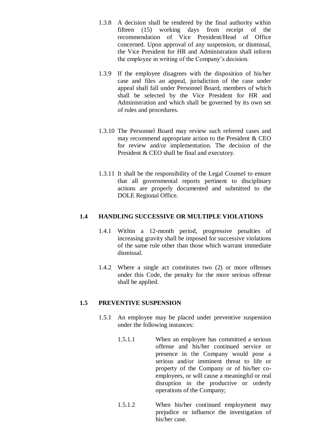- 1.3.8 A decision shall be rendered by the final authority within fifteen (15) working days from receipt of the recommendation of Vice President/Head of Office concerned. Upon approval of any suspension, or dismissal, the Vice President for HR and Administration shall inform the employee in writing of the Company's decision.
- 1.3.9 If the employee disagrees with the disposition of his/her case and files an appeal, jurisdiction of the case under appeal shall fall under Personnel Board, members of which shall be selected by the Vice President for HR and Administration and which shall be governed by its own set of rules and procedures.
- 1.3.10 The Personnel Board may review such referred cases and may recommend appropriate action to the President & CEO for review and/or implementation. The decision of the President & CEO shall be final and executory.
- 1.3.11 It shall be the responsibility of the Legal Counsel to ensure that all governmental reports pertinent to disciplinary actions are properly documented and submitted to the DOLE Regional Office.

# **1.4 HANDLING SUCCESSIVE OR MULTIPLE VIOLATIONS**

- 1.4.1 Within a 12-month period, progressive penalties of increasing gravity shall be imposed for successive violations of the same rule other than those which warrant immediate dismissal.
- 1.4.2 Where a single act constitutes two (2) or more offenses under this Code, the penalty for the more serious offense shall be applied.

#### **1.5 PREVENTIVE SUSPENSION**

- 1.5.1 An employee may be placed under preventive suspension under the following instances:
	- 1.5.1.1 When an employee has committed a serious offense and his/her continued service or presence in the Company would pose a serious and/or imminent threat to life or property of the Company or of his/her coemployees, or will cause a meaningful or real disruption in the productive or orderly operations of the Company;
	- 1.5.1.2 When his/her continued employment may prejudice or influence the investigation of his/her case.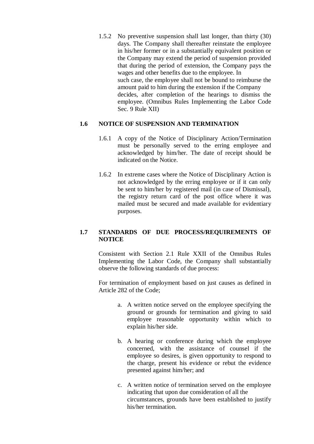1.5.2 No preventive suspension shall last longer, than thirty (30) days. The Company shall thereafter reinstate the employee in his/her former or in a substantially equivalent position or the Company may extend the period of suspension provided that during the period of extension, the Company pays the wages and other benefits due to the employee. In such case, the employee shall not be bound to reimburse the amount paid to him during the extension if the Company decides, after completion of the hearings to dismiss the employee. (Omnibus Rules Implementing the Labor Code Sec. 9 Rule XII)

#### **1.6 NOTICE OF SUSPENSION AND TERMINATION**

- 1.6.1 A copy of the Notice of Disciplinary Action/Termination must be personally served to the erring employee and acknowledged by him/her. The date of receipt should be indicated on the Notice.
- 1.6.2 In extreme cases where the Notice of Disciplinary Action is not acknowledged by the erring employee or if it can only be sent to him/her by registered mail (in case of Dismissal), the registry return card of the post office where it was mailed must be secured and made available for evidentiary purposes.

# **1.7 STANDARDS OF DUE PROCESS/REQUIREMENTS OF NOTICE**

Consistent with Section 2.1 Rule XXII of the Omnibus Rules Implementing the Labor Code, the Company shall substantially observe the following standards of due process:

For termination of employment based on just causes as defined in Article 282 of the Code;

- a. A written notice served on the employee specifying the ground or grounds for termination and giving to said employee reasonable opportunity within which to explain his/her side.
- b. A hearing or conference during which the employee concerned, with the assistance of counsel if the employee so desires, is given opportunity to respond to the charge, present his evidence or rebut the evidence presented against him/her; and
- c. A written notice of termination served on the employee indicating that upon due consideration of all the circumstances, grounds have been established to justify his/her termination.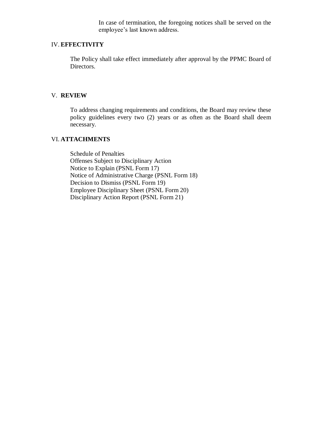In case of termination, the foregoing notices shall be served on the employee's last known address.

#### IV. **EFFECTIVITY**

The Policy shall take effect immediately after approval by the PPMC Board of Directors.

# V. **REVIEW**

To address changing requirements and conditions, the Board may review these policy guidelines every two (2) years or as often as the Board shall deem necessary.

# VI. **ATTACHMENTS**

Schedule of Penalties Offenses Subject to Disciplinary Action Notice to Explain (PSNL Form 17) Notice of Administrative Charge (PSNL Form 18) Decision to Dismiss (PSNL Form 19) Employee Disciplinary Sheet (PSNL Form 20) Disciplinary Action Report (PSNL Form 21)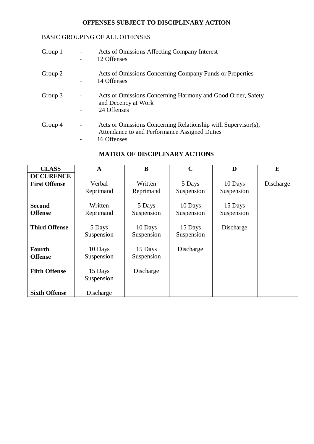# **OFFENSES SUBJECT TO DISCIPLINARY ACTION**

# BASIC GROUPING OF ALL OFFENSES

| Group 1 | Acts of Omissions Affecting Company Interest<br>12 Offenses                                                                   |
|---------|-------------------------------------------------------------------------------------------------------------------------------|
| Group 2 | Acts of Omissions Concerning Company Funds or Properties<br>14 Offenses                                                       |
| Group 3 | Acts or Omissions Concerning Harmony and Good Order, Safety<br>and Decency at Work<br>24 Offenses                             |
| Group 4 | Acts or Omissions Concerning Relationship with Supervisor(s),<br>Attendance to and Performance Assigned Duties<br>16 Offenses |

|  |  |  |  |  |  |  | <b>MATRIX OF DISCIPLINARY ACTIONS</b> |  |
|--|--|--|--|--|--|--|---------------------------------------|--|
|--|--|--|--|--|--|--|---------------------------------------|--|

| <b>CLASS</b>                    | $\mathbf{A}$          | B                     | $\mathbf C$           | D                     | E         |
|---------------------------------|-----------------------|-----------------------|-----------------------|-----------------------|-----------|
| <b>OCCURENCE</b>                |                       |                       |                       |                       |           |
| <b>First Offense</b>            | Verbal                | Written               | 5 Days                | 10 Days               | Discharge |
|                                 | Reprimand             | Reprimand             | Suspension            | Suspension            |           |
| <b>Second</b><br><b>Offense</b> | Written<br>Reprimand  | 5 Days<br>Suspension  | 10 Days<br>Suspension | 15 Days<br>Suspension |           |
| <b>Third Offense</b>            | 5 Days<br>Suspension  | 10 Days<br>Suspension | 15 Days<br>Suspension | Discharge             |           |
| <b>Fourth</b><br><b>Offense</b> | 10 Days<br>Suspension | 15 Days<br>Suspension | Discharge             |                       |           |
| <b>Fifth Offense</b>            | 15 Days<br>Suspension | Discharge             |                       |                       |           |
| <b>Sixth Offense</b>            | Discharge             |                       |                       |                       |           |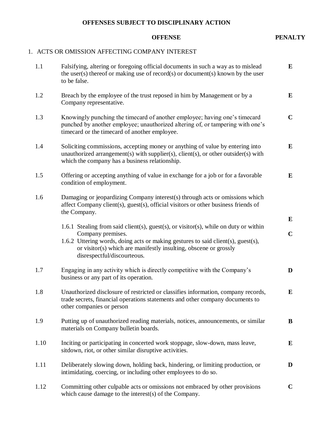# **OFFENSES SUBJECT TO DISCIPLINARY ACTION**

#### **OFFENSE PENALTY**

# 1. ACTS OR OMISSION AFFECTING COMPANY INTEREST

| 1.1  | Falsifying, altering or foregoing official documents in such a way as to mislead<br>the user(s) thereof or making use of record(s) or document(s) known by the user<br>to be false.                                                                                                              | $\bf{E}$                 |
|------|--------------------------------------------------------------------------------------------------------------------------------------------------------------------------------------------------------------------------------------------------------------------------------------------------|--------------------------|
| 1.2  | Breach by the employee of the trust reposed in him by Management or by a<br>Company representative.                                                                                                                                                                                              | ${\bf E}$                |
| 1.3  | Knowingly punching the timecard of another employee; having one's timecard<br>punched by another employee; unauthorized altering of, or tampering with one's<br>timecard or the timecard of another employee.                                                                                    | $\mathbf C$              |
| 1.4  | Soliciting commissions, accepting money or anything of value by entering into<br>unauthorized arrangement(s) with supplier(s), client(s), or other outsider(s) with<br>which the company has a business relationship.                                                                            | E                        |
| 1.5  | Offering or accepting anything of value in exchange for a job or for a favorable<br>condition of employment.                                                                                                                                                                                     | $\bf{E}$                 |
| 1.6  | Damaging or jeopardizing Company interest(s) through acts or omissions which<br>affect Company client(s), guest(s), official visitors or other business friends of<br>the Company.                                                                                                               |                          |
|      | 1.6.1 Stealing from said client(s), guest(s), or visitor(s), while on duty or within<br>Company premises.<br>1.6.2 Uttering words, doing acts or making gestures to said client(s), guest(s),<br>or visitor(s) which are manifestly insulting, obscene or grossly<br>disrespectful/discourteous. | ${\bf E}$<br>$\mathbf C$ |
| 1.7  | Engaging in any activity which is directly competitive with the Company's<br>business or any part of its operation.                                                                                                                                                                              | D                        |
| 1.8  | Unauthorized disclosure of restricted or classifies information, company records,<br>trade secrets, financial operations statements and other company documents to<br>other companies or person                                                                                                  | E                        |
| 1.9  | Putting up of unauthorized reading materials, notices, announcements, or similar<br>materials on Company bulletin boards.                                                                                                                                                                        | B                        |
| 1.10 | Inciting or participating in concerted work stoppage, slow-down, mass leave,<br>sitdown, riot, or other similar disruptive activities.                                                                                                                                                           | E                        |
| 1.11 | Deliberately slowing down, holding back, hindering, or limiting production, or<br>intimidating, coercing, or including other employees to do so.                                                                                                                                                 | D                        |
| 1.12 | Committing other culpable acts or omissions not embraced by other provisions<br>which cause damage to the interest(s) of the Company.                                                                                                                                                            | $\mathbf C$              |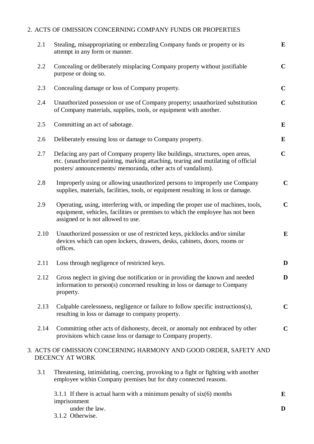# 2. ACTS OF OMISSION CONCERNING COMPANY FUNDS OR PROPERTIES

| 2.1  | Stealing, misappropriating or embezzling Company funds or property or its<br>attempt in any form or manner.                                                                                                                         | ${\bf E}$   |
|------|-------------------------------------------------------------------------------------------------------------------------------------------------------------------------------------------------------------------------------------|-------------|
| 2.2  | Concealing or deliberately misplacing Company property without justifiable<br>purpose or doing so.                                                                                                                                  | $\mathbf C$ |
| 2.3  | Concealing damage or loss of Company property.                                                                                                                                                                                      | $\mathbf C$ |
| 2.4  | Unauthorized possession or use of Company property; unauthorized substitution<br>of Company materials, supplies, tools, or equipment with another.                                                                                  | $\mathbf C$ |
| 2.5  | Committing an act of sabotage.                                                                                                                                                                                                      | $\bf{E}$    |
| 2.6  | Deliberately ensuing loss or damage to Company property.                                                                                                                                                                            | E           |
| 2.7  | Defacing any part of Company property like buildings, structures, open areas,<br>etc. (unauthorized painting, marking attaching, tearing and mutilating of official<br>posters/ announcements/ memoranda, other acts of vandalism). | $\mathbf C$ |
| 2.8  | Improperly using or allowing unauthorized persons to improperly use Company<br>supplies, materials, facilities, tools, or equipment resulting in loss or damage.                                                                    | $\mathbf C$ |
| 2.9  | Operating, using, interfering with, or impeding the proper use of machines, tools,<br>equipment, vehicles, facilities or premises to which the employee has not been<br>assigned or is not allowed to use.                          | $\mathbf C$ |
| 2.10 | Unauthorized possession or use of restricted keys, picklocks and/or similar<br>devices which can open lockers, drawers, desks, cabinets, doors, rooms or<br>offices.                                                                | E           |
| 2.11 | Loss through negligence of restricted keys.                                                                                                                                                                                         | D           |
| 2.12 | Gross neglect in giving due notification or in providing the known and needed<br>information to person(s) concerned resulting in loss or damage to Company<br>property.                                                             | D           |
| 2.13 | Culpable carelessness, negligence or failure to follow specific instructions(s),<br>resulting in loss or damage to company property.                                                                                                | $\mathbf C$ |
| 2.14 | Committing other acts of dishonesty, deceit, or anomaly not embraced by other<br>provisions which cause loss or damage to Company property.                                                                                         | $\mathbf C$ |
|      | 3. ACTS OF OMISSION CONCERNING HARMONY AND GOOD ORDER, SAFETY AND<br>DECENCY AT WORK                                                                                                                                                |             |
| 3.1  | Threatening, intimidating, coercing, provoking to a fight or fighting with another<br>employee within Company premises but for duty connected reasons.                                                                              |             |
|      | 3.1.1 If there is actual harm with a minimum penalty of $six(6)$ months                                                                                                                                                             | E           |
|      | imprisonment<br>under the law.<br>3.1.2 Otherwise.                                                                                                                                                                                  | D           |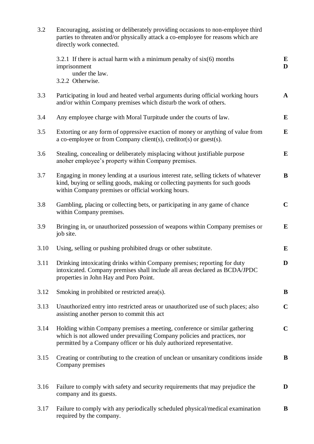| 3.2  | Encouraging, assisting or deliberately providing occasions to non-employee third<br>parties to threaten and/or physically attack a co-employee for reasons which are<br>directly work connected.                                 |              |  |  |  |  |
|------|----------------------------------------------------------------------------------------------------------------------------------------------------------------------------------------------------------------------------------|--------------|--|--|--|--|
|      | 3.2.1 If there is actual harm with a minimum penalty of $six(6)$ months<br>imprisonment<br>under the law.<br>3.2.2 Otherwise.                                                                                                    | E<br>D       |  |  |  |  |
| 3.3  | Participating in loud and heated verbal arguments during official working hours<br>and/or within Company premises which disturb the work of others.                                                                              | $\mathbf{A}$ |  |  |  |  |
| 3.4  | Any employee charge with Moral Turpitude under the courts of law.                                                                                                                                                                | E            |  |  |  |  |
| 3.5  | Extorting or any form of oppressive exaction of money or anything of value from<br>a co-employee or from Company client(s), creditor(s) or guest(s).                                                                             | E            |  |  |  |  |
| 3.6  | Stealing, concealing or deliberately misplacing without justifiable purpose<br>anoher employee's property within Company premises.                                                                                               | E            |  |  |  |  |
| 3.7  | Engaging in money lending at a usurious interest rate, selling tickets of whatever<br>kind, buying or selling goods, making or collecting payments for such goods<br>within Company premises or official working hours.          | B            |  |  |  |  |
| 3.8  | Gambling, placing or collecting bets, or participating in any game of chance<br>within Company premises.                                                                                                                         | $\mathbf C$  |  |  |  |  |
| 3.9  | Bringing in, or unauthorized possession of weapons within Company premises or<br>job site.                                                                                                                                       | E            |  |  |  |  |
| 3.10 | Using, selling or pushing prohibited drugs or other substitute.                                                                                                                                                                  | E            |  |  |  |  |
| 3.11 | Drinking intoxicating drinks within Company premises; reporting for duty<br>intoxicated. Company premises shall include all areas declared as BCDA/JPDC<br>properties in John Hay and Poro Point.                                | D            |  |  |  |  |
| 3.12 | Smoking in prohibited or restricted area(s).                                                                                                                                                                                     | B            |  |  |  |  |
| 3.13 | Unauthorized entry into restricted areas or unauthorized use of such places; also<br>assisting another person to commit this act                                                                                                 | $\mathbf C$  |  |  |  |  |
| 3.14 | Holding within Company premises a meeting, conference or similar gathering<br>which is not allowed under prevailing Company policies and practices, nor<br>permitted by a Company officer or his duly authorized representative. | $\mathbf C$  |  |  |  |  |
| 3.15 | Creating or contributing to the creation of unclean or unsanitary conditions inside<br>Company premises                                                                                                                          | B            |  |  |  |  |
| 3.16 | Failure to comply with safety and security requirements that may prejudice the<br>company and its guests.                                                                                                                        | D            |  |  |  |  |
| 3.17 | Failure to comply with any periodically scheduled physical/medical examination<br>required by the company.                                                                                                                       | B            |  |  |  |  |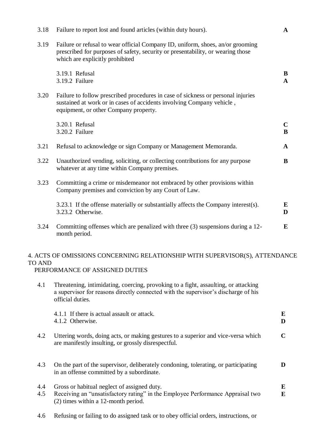| 3.18 | Failure to report lost and found articles (within duty hours).                                                                                                                                       | $\mathbf{A}$      |
|------|------------------------------------------------------------------------------------------------------------------------------------------------------------------------------------------------------|-------------------|
| 3.19 | Failure or refusal to wear official Company ID, uniform, shoes, an/or grooming<br>prescribed for purposes of safety, security or presentability, or wearing those<br>which are explicitly prohibited |                   |
|      | 3.19.1 Refusal<br>3.19.2 Failure                                                                                                                                                                     | B<br>$\mathbf{A}$ |
| 3.20 | Failure to follow prescribed procedures in case of sickness or personal injuries<br>sustained at work or in cases of accidents involving Company vehicle,<br>equipment, or other Company property.   |                   |
|      | 3.20.1 Refusal<br>3.20.2 Failure                                                                                                                                                                     | $\mathbf C$<br>B  |
| 3.21 | Refusal to acknowledge or sign Company or Management Memoranda.                                                                                                                                      | $\mathbf{A}$      |
| 3.22 | Unauthorized vending, soliciting, or collecting contributions for any purpose<br>whatever at any time within Company premises.                                                                       | B                 |
| 3.23 | Committing a crime or misdemeanor not embraced by other provisions within<br>Company premises and conviction by any Court of Law.                                                                    |                   |
|      | 3.23.1 If the offense materially or substantially affects the Company interest(s).<br>3.23.2 Otherwise.                                                                                              | E<br>D            |
| 3.24 | Committing offenses which are penalized with three (3) suspensions during a 12-<br>month period.                                                                                                     | E                 |
|      |                                                                                                                                                                                                      |                   |

# 4. ACTS OF OMISSIONS CONCERNING RELATIONSHIP WITH SUPERVISOR(S), ATTENDANCE TO AND

PERFORMANCE OF ASSIGNED DUTIES

4.1 Threatening, intimidating, coercing, provoking to a fight, assaulting, or attacking a supervisor for reasons directly connected with the supervisor's discharge of his official duties.

|            | 4.1.1 If there is actual assault or attack.<br>4.1.2 Otherwise.                                                                                                        | E<br>D      |
|------------|------------------------------------------------------------------------------------------------------------------------------------------------------------------------|-------------|
| 4.2        | Uttering words, doing acts, or making gestures to a superior and vice-versa which<br>are manifestly insulting, or grossly disrespectful.                               | $\mathbf C$ |
| 4.3        | On the part of the supervisor, deliberately condoning, tolerating, or participating<br>in an offense committed by a subordinate.                                       | D           |
| 4.4<br>4.5 | Gross or habitual neglect of assigned duty.<br>Receiving an "unsatisfactory rating" in the Employee Performance Appraisal two<br>$(2)$ times within a 12-month period. | E<br>E      |

4.6 Refusing or failing to do assigned task or to obey official orders, instructions, or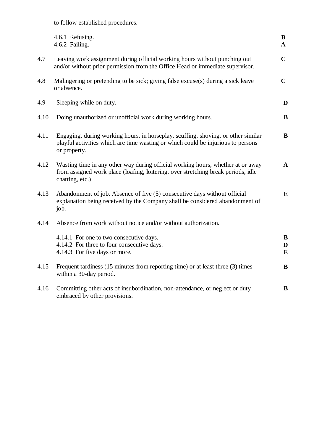to follow established procedures.

|      | 4.6.1 Refusing.<br>4.6.2 Failing.                                                                                                                                                       | B<br>$\mathbf{A}$ |
|------|-----------------------------------------------------------------------------------------------------------------------------------------------------------------------------------------|-------------------|
| 4.7  | Leaving work assignment during official working hours without punching out<br>and/or without prior permission from the Office Head or immediate supervisor.                             | $\mathbf C$       |
| 4.8  | Malingering or pretending to be sick; giving false excuse(s) during a sick leave<br>or absence.                                                                                         | $\mathbf C$       |
| 4.9  | Sleeping while on duty.                                                                                                                                                                 | D                 |
| 4.10 | Doing unauthorized or unofficial work during working hours.                                                                                                                             | B                 |
| 4.11 | Engaging, during working hours, in horseplay, scuffing, shoving, or other similar<br>playful activities which are time wasting or which could be injurious to persons<br>or property.   | B                 |
| 4.12 | Wasting time in any other way during official working hours, whether at or away<br>from assigned work place (loafing, loitering, over stretching break periods, idle<br>chatting, etc.) | $\mathbf A$       |
| 4.13 | Abandonment of job. Absence of five (5) consecutive days without official<br>explanation being received by the Company shall be considered abandonment of<br>job.                       | E                 |
| 4.14 | Absence from work without notice and/or without authorization.                                                                                                                          |                   |
|      | 4.14.1 For one to two consecutive days.<br>4.14.2 For three to four consecutive days.<br>4.14.3 For five days or more.                                                                  | B<br>D<br>E       |
| 4.15 | Frequent tardiness (15 minutes from reporting time) or at least three (3) times<br>within a 30-day period.                                                                              | B                 |
| 4.16 | Committing other acts of insubordination, non-attendance, or neglect or duty<br>embraced by other provisions.                                                                           | B                 |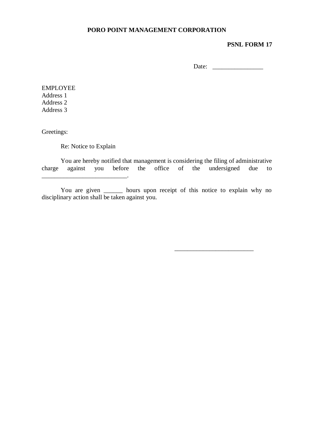## **PSNL FORM 17**

Date:

\_\_\_\_\_\_\_\_\_\_\_\_\_\_\_\_\_\_\_\_\_\_\_\_\_

EMPLOYEE Address 1 Address 2 Address 3

Greetings:

Re: Notice to Explain

You are hereby notified that management is considering the filing of administrative charge against you before the office of the undersigned due to  $\mathcal{L}=\mathcal{L}$ 

You are given \_\_\_\_\_\_\_ hours upon receipt of this notice to explain why no disciplinary action shall be taken against you.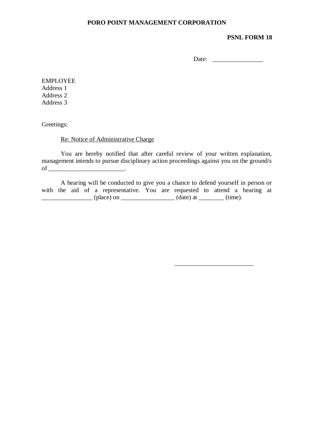#### **PSNL FORM 18**

Date:

\_\_\_\_\_\_\_\_\_\_\_\_\_\_\_\_\_\_\_\_\_\_\_\_\_

EMPLOYEE Address 1 Address 2 Address 3

Greetings:

Re: Notice of Administrative Charge

You are hereby notified that after careful review of your written explanation, management intends to pursue disciplinary action proceedings against you on the ground/s of \_\_\_\_\_\_\_\_\_\_\_\_\_\_\_\_\_\_\_\_\_\_\_\_.

A hearing will be conducted to give you a chance to defend yourself in person or with the aid of a representative. You are requested to attend a hearing at  $\frac{1}{\text{phase}}$  (place) on  $\frac{1}{\text{phase}}$  (date) at  $\frac{1}{\text{phase}}$  (time).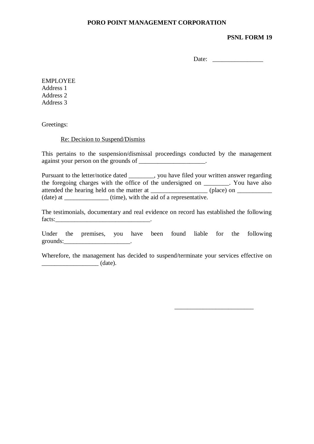#### **PSNL FORM 19**

Date:

EMPLOYEE Address 1 Address 2 Address 3

Greetings:

#### Re: Decision to Suspend/Dismiss

This pertains to the suspension/dismissal proceedings conducted by the management against your person on the grounds of \_\_\_\_\_\_\_\_\_\_\_\_\_\_\_\_\_\_\_.

Pursuant to the letter/notice dated \_\_\_\_\_\_\_, you have filed your written answer regarding the foregoing charges with the office of the undersigned on \_\_\_\_\_\_\_\_. You have also attended the hearing held on the matter at \_\_\_\_\_\_\_\_\_\_\_\_\_\_\_\_\_\_ (place) on \_\_\_\_\_\_\_\_\_\_\_ (date) at \_\_\_\_\_\_\_\_\_\_\_\_\_\_ (time), with the aid of a representative.

The testimonials, documentary and real evidence on record has established the following facts:

Under the premises, you have been found liable for the following grounds: $\qquad \qquad \qquad$ 

Wherefore, the management has decided to suspend/terminate your services effective on  $(\text{date}).$ 

\_\_\_\_\_\_\_\_\_\_\_\_\_\_\_\_\_\_\_\_\_\_\_\_\_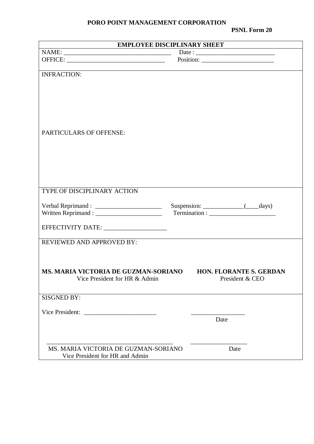**PSNL Form 20**

| <b>EMPLOYEE DISCIPLINARY SHEET</b>        |                                |  |  |
|-------------------------------------------|--------------------------------|--|--|
|                                           |                                |  |  |
|                                           | Position:                      |  |  |
|                                           |                                |  |  |
| <b>INFRACTION:</b>                        |                                |  |  |
|                                           |                                |  |  |
|                                           |                                |  |  |
|                                           |                                |  |  |
|                                           |                                |  |  |
|                                           |                                |  |  |
|                                           |                                |  |  |
| PARTICULARS OF OFFENSE:                   |                                |  |  |
|                                           |                                |  |  |
|                                           |                                |  |  |
|                                           |                                |  |  |
|                                           |                                |  |  |
|                                           |                                |  |  |
|                                           |                                |  |  |
| TYPE OF DISCIPLINARY ACTION               |                                |  |  |
|                                           |                                |  |  |
|                                           |                                |  |  |
|                                           |                                |  |  |
|                                           |                                |  |  |
| EFFECTIVITY DATE: _______________________ |                                |  |  |
|                                           |                                |  |  |
| <b>REVIEWED AND APPROVED BY:</b>          |                                |  |  |
|                                           |                                |  |  |
|                                           |                                |  |  |
| MS. MARIA VICTORIA DE GUZMAN-SORIANO      | <b>HON. FLORANTE S. GERDAN</b> |  |  |
| Vice President for HR & Admin             | President & CEO                |  |  |
|                                           |                                |  |  |
| <b>SISGNED BY:</b>                        |                                |  |  |
|                                           |                                |  |  |
|                                           |                                |  |  |
|                                           | Date                           |  |  |
|                                           |                                |  |  |
|                                           |                                |  |  |
|                                           |                                |  |  |
| MS. MARIA VICTORIA DE GUZMAN-SORIANO      | Date                           |  |  |
| Vice President for HR and Admin           |                                |  |  |